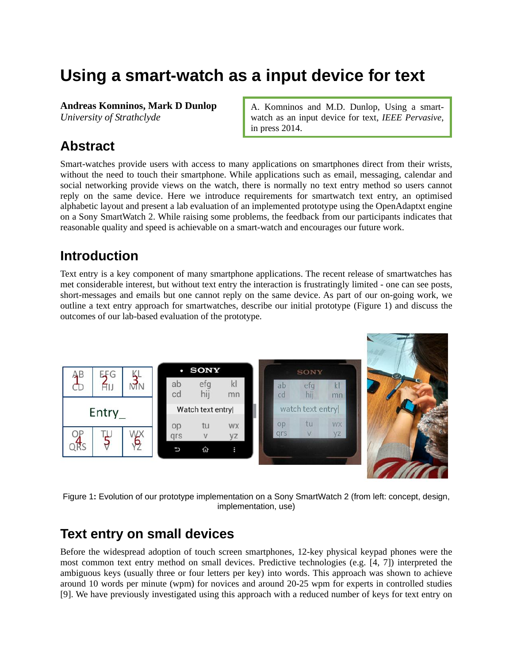# **Using a smart-watch as a input device for text**

**Andreas Komninos, Mark D Dunlop**

*University of Strathclyde*

A. Komninos and M.D. Dunlop, Using a smartwatch as an input device for text, *IEEE Pervasive*, in press 2014.

# **Abstract**

Smart-watches provide users with access to many applications on smartphones direct from their wrists, without the need to touch their smartphone. While applications such as email, messaging, calendar and social networking provide views on the watch, there is normally no text entry method so users cannot reply on the same device. Here we introduce requirements for smartwatch text entry, an optimised alphabetic layout and present a lab evaluation of an implemented prototype using the OpenAdaptxt engine on a Sony SmartWatch 2. While raising some problems, the feedback from our participants indicates that reasonable quality and speed is achievable on a smart-watch and encourages our future work.

# **Introduction**

Text entry is a key component of many smartphone applications. The recent release of smartwatches has met considerable interest, but without text entry the interaction is frustratingly limited - one can see posts, short-messages and emails but one cannot reply on the same device. As part of our on-going work, we outline a text entry approach for smartwatches, describe our initial prototype [\(Figure 1\)](#page-0-0) and discuss the outcomes of our lab-based evaluation of the prototype.



<span id="page-0-0"></span>Figure 1**:** Evolution of our prototype implementation on a Sony SmartWatch 2 (from left: concept, design, implementation, use)

## **Text entry on small devices**

Before the widespread adoption of touch screen smartphones, 12-key physical keypad phones were the most common text entry method on small devices. Predictive technologies (e.g. [4, 7]) interpreted the ambiguous keys (usually three or four letters per key) into words. This approach was shown to achieve around 10 words per minute (wpm) for novices and around 20-25 wpm for experts in controlled studies [9]. We have previously investigated using this approach with a reduced number of keys for text entry on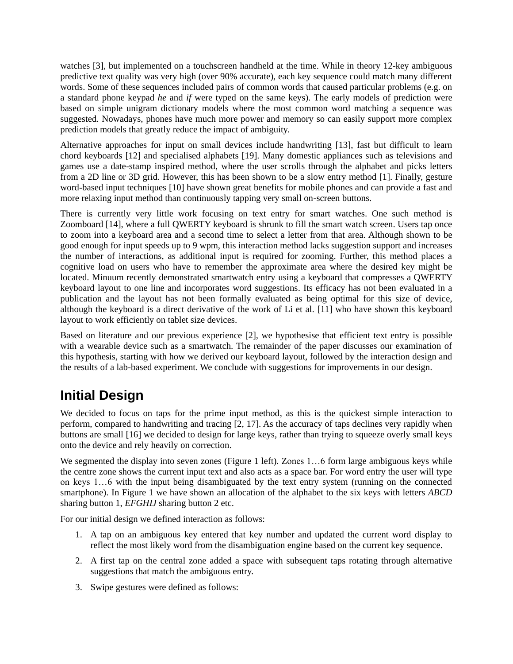watches [3], but implemented on a touchscreen handheld at the time. While in theory 12-key ambiguous predictive text quality was very high (over 90% accurate), each key sequence could match many different words. Some of these sequences included pairs of common words that caused particular problems (e.g. on a standard phone keypad *he* and *if* were typed on the same keys). The early models of prediction were based on simple unigram dictionary models where the most common word matching a sequence was suggested. Nowadays, phones have much more power and memory so can easily support more complex prediction models that greatly reduce the impact of ambiguity.

Alternative approaches for input on small devices include handwriting [13], fast but difficult to learn chord keyboards [12] and specialised alphabets [19]. Many domestic appliances such as televisions and games use a date-stamp inspired method, where the user scrolls through the alphabet and picks letters from a 2D line or 3D grid. However, this has been shown to be a slow entry method [1]. Finally, gesture word-based input techniques [10] have shown great benefits for mobile phones and can provide a fast and more relaxing input method than continuously tapping very small on-screen buttons.

There is currently very little work focusing on text entry for smart watches. One such method is Zoomboard [14], where a full QWERTY keyboard is shrunk to fill the smart watch screen. Users tap once to zoom into a keyboard area and a second time to select a letter from that area. Although shown to be good enough for input speeds up to 9 wpm, this interaction method lacks suggestion support and increases the number of interactions, as additional input is required for zooming. Further, this method places a cognitive load on users who have to remember the approximate area where the desired key might be located. Minuum recently demonstrated smartwatch entry using a keyboard that compresses a QWERTY keyboard layout to one line and incorporates word suggestions. Its efficacy has not been evaluated in a publication and the layout has not been formally evaluated as being optimal for this size of device, although the keyboard is a direct derivative of the work of Li et al. [11] who have shown this keyboard layout to work efficiently on tablet size devices.

Based on literature and our previous experience [2], we hypothesise that efficient text entry is possible with a wearable device such as a smartwatch. The remainder of the paper discusses our examination of this hypothesis, starting with how we derived our keyboard layout, followed by the interaction design and the results of a lab-based experiment. We conclude with suggestions for improvements in our design.

## **Initial Design**

We decided to focus on taps for the prime input method, as this is the quickest simple interaction to perform, compared to handwriting and tracing [2, 17]. As the accuracy of taps declines very rapidly when buttons are small [16] we decided to design for large keys, rather than trying to squeeze overly small keys onto the device and rely heavily on correction.

We segmented the display into seven zones (Figure 1 left). Zones 1...6 form large ambiguous keys while the centre zone shows the current input text and also acts as a space bar. For word entry the user will type on keys 1…6 with the input being disambiguated by the text entry system (running on the connected smartphone). In [Figure 1](#page-0-0) we have shown an allocation of the alphabet to the six keys with letters *ABCD* sharing button 1, *EFGHIJ* sharing button 2 etc.

For our initial design we defined interaction as follows:

- 1. A tap on an ambiguous key entered that key number and updated the current word display to reflect the most likely word from the disambiguation engine based on the current key sequence.
- 2. A first tap on the central zone added a space with subsequent taps rotating through alternative suggestions that match the ambiguous entry.
- 3. Swipe gestures were defined as follows: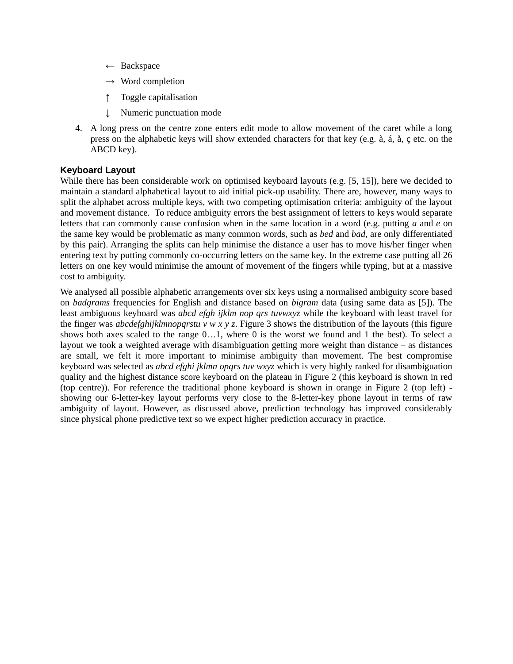- $\leftarrow$  Backspace
- $\rightarrow$  Word completion
- ↑ Toggle capitalisation
- ↓ Numeric punctuation mode
- 4. A long press on the centre zone enters edit mode to allow movement of the caret while a long press on the alphabetic keys will show extended characters for that key (e.g. à, á, å, ç etc. on the ABCD key).

### **Keyboard Layout**

While there has been considerable work on optimised keyboard layouts (e.g. [5, 15]), here we decided to maintain a standard alphabetical layout to aid initial pick-up usability. There are, however, many ways to split the alphabet across multiple keys, with two competing optimisation criteria: ambiguity of the layout and movement distance. To reduce ambiguity errors the best assignment of letters to keys would separate letters that can commonly cause confusion when in the same location in a word (e.g. putting *a* and *e* on the same key would be problematic as many common words, such as *bed* and *bad*, are only differentiated by this pair). Arranging the splits can help minimise the distance a user has to move his/her finger when entering text by putting commonly co-occurring letters on the same key. In the extreme case putting all 26 letters on one key would minimise the amount of movement of the fingers while typing, but at a massive cost to ambiguity.

We analysed all possible alphabetic arrangements over six keys using a normalised ambiguity score based on *badgrams* frequencies for English and distance based on *bigram* data (using same data as [5]). The least ambiguous keyboard was *abcd efgh ijklm nop qrs tuvwxyz* while the keyboard with least travel for the finger was *abcdefghijklmnopqrstu v w x y z*. Figure 3 shows the distribution of the layouts (this figure shows both axes scaled to the range 0…1, where 0 is the worst we found and 1 the best). To select a layout we took a weighted average with disambiguation getting more weight than distance – as distances are small, we felt it more important to minimise ambiguity than movement. The best compromise keyboard was selected as *abcd efghi jklmn opqrs tuv wxyz* which is very highly ranked for disambiguation quality and the highest distance score keyboard on the plateau in [Figure 2](#page-3-0) (this keyboard is shown in red (top centre)). For reference the traditional phone keyboard is shown in orange in [Figure 2](#page-3-0) (top left) showing our 6-letter-key layout performs very close to the 8-letter-key phone layout in terms of raw ambiguity of layout. However, as discussed above, prediction technology has improved considerably since physical phone predictive text so we expect higher prediction accuracy in practice.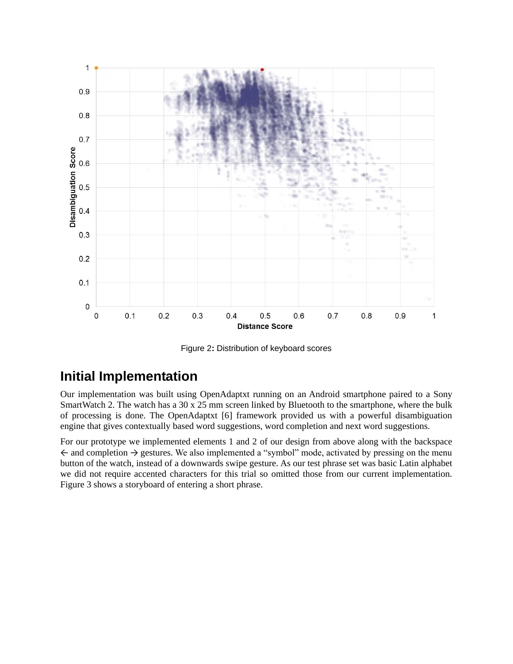

Figure 2**:** Distribution of keyboard scores

## <span id="page-3-0"></span>**Initial Implementation**

Our implementation was built using OpenAdaptxt running on an Android smartphone paired to a Sony SmartWatch 2. The watch has a 30 x 25 mm screen linked by Bluetooth to the smartphone, where the bulk of processing is done. The OpenAdaptxt [6] framework provided us with a powerful disambiguation engine that gives contextually based word suggestions, word completion and next word suggestions.

For our prototype we implemented elements 1 and 2 of our design from above along with the backspace  $\leftarrow$  and completion  $\rightarrow$  gestures. We also implemented a "symbol" mode, activated by pressing on the menu button of the watch, instead of a downwards swipe gesture. As our test phrase set was basic Latin alphabet we did not require accented characters for this trial so omitted those from our current implementation. [Figure 3](#page-4-0) shows a storyboard of entering a short phrase.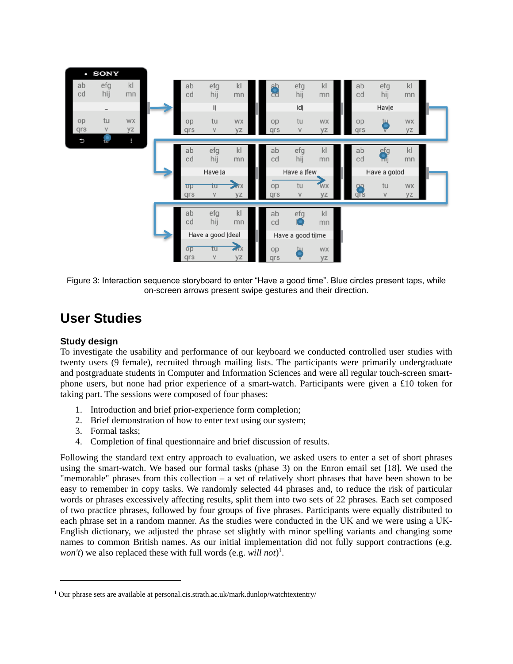

<span id="page-4-0"></span>Figure 3: Interaction sequence storyboard to enter "Have a good time". Blue circles present taps, while on-screen arrows present swipe gestures and their direction.

## **User Studies**

### **Study design**

l

To investigate the usability and performance of our keyboard we conducted controlled user studies with twenty users (9 female), recruited through mailing lists. The participants were primarily undergraduate and postgraduate students in Computer and Information Sciences and were all regular touch-screen smartphone users, but none had prior experience of a smart-watch. Participants were given a £10 token for taking part. The sessions were composed of four phases:

- 1. Introduction and brief prior-experience form completion;
- 2. Brief demonstration of how to enter text using our system;
- 3. Formal tasks;
- 4. Completion of final questionnaire and brief discussion of results.

Following the standard text entry approach to evaluation, we asked users to enter a set of short phrases using the smart-watch. We based our formal tasks (phase 3) on the Enron email set [18]. We used the "memorable" phrases from this collection – a set of relatively short phrases that have been shown to be easy to remember in copy tasks. We randomly selected 44 phrases and, to reduce the risk of particular words or phrases excessively affecting results, split them into two sets of 22 phrases. Each set composed of two practice phrases, followed by four groups of five phrases. Participants were equally distributed to each phrase set in a random manner. As the studies were conducted in the UK and we were using a UK-English dictionary, we adjusted the phrase set slightly with minor spelling variants and changing some names to common British names. As our initial implementation did not fully support contractions (e.g. *won't*) we also replaced these with full words (e.g. *will not*) 1 .

<sup>&</sup>lt;sup>1</sup> Our phrase sets are available at personal.cis.strath.ac.uk/mark.dunlop/watchtextentry/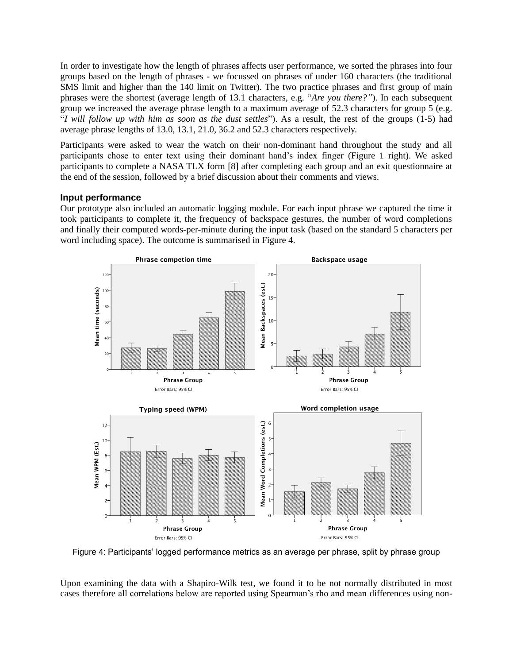In order to investigate how the length of phrases affects user performance, we sorted the phrases into four groups based on the length of phrases - we focussed on phrases of under 160 characters (the traditional SMS limit and higher than the 140 limit on Twitter). The two practice phrases and first group of main phrases were the shortest (average length of 13.1 characters, e.g. "*Are you there?"*). In each subsequent group we increased the average phrase length to a maximum average of 52.3 characters for group 5 (e.g. "*I will follow up with him as soon as the dust settles*"). As a result, the rest of the groups (1-5) had average phrase lengths of 13.0, 13.1, 21.0, 36.2 and 52.3 characters respectively.

Participants were asked to wear the watch on their non-dominant hand throughout the study and all participants chose to enter text using their dominant hand's index finger (Figure 1 right). We asked participants to complete a NASA TLX form [8] after completing each group and an exit questionnaire at the end of the session, followed by a brief discussion about their comments and views.

### **Input performance**

Our prototype also included an automatic logging module. For each input phrase we captured the time it took participants to complete it, the frequency of backspace gestures, the number of word completions and finally their computed words-per-minute during the input task (based on the standard 5 characters per word including space). The outcome is summarised in Figure 4.



Figure 4: Participants' logged performance metrics as an average per phrase, split by phrase group

Upon examining the data with a Shapiro-Wilk test, we found it to be not normally distributed in most cases therefore all correlations below are reported using Spearman's rho and mean differences using non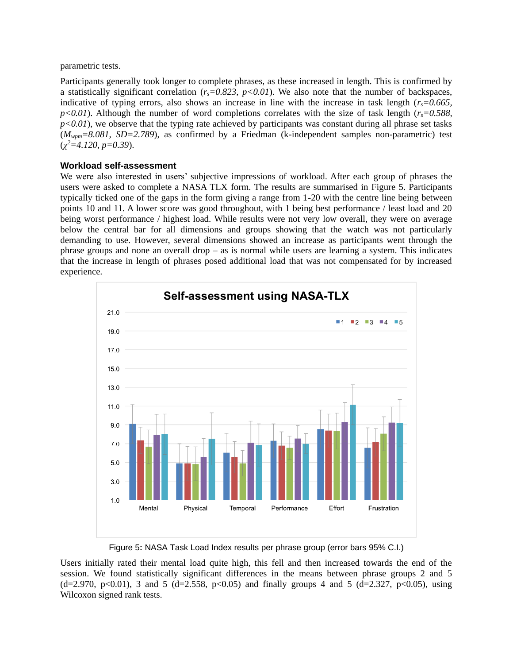parametric tests.

Participants generally took longer to complete phrases, as these increased in length. This is confirmed by a statistically significant correlation  $(r_s=0.823, p<0.01)$ . We also note that the number of backspaces, indicative of typing errors, also shows an increase in line with the increase in task length ( $r_s$ =0.665,  $p$ <0.01). Although the number of word completions correlates with the size of task length ( $r_s$ =0.588,  $p<0.01$ , we observe that the typing rate achieved by participants was constant during all phrase set tasks (*Mwpm=8.081, SD=2.789*), as confirmed by a Friedman (k-independent samples non-parametric) test (*χ <sup>2</sup>=4.120, p=0.39*).

### **Workload self-assessment**

We were also interested in users' subjective impressions of workload. After each group of phrases the users were asked to complete a NASA TLX form. The results are summarised in Figure 5. Participants typically ticked one of the gaps in the form giving a range from 1-20 with the centre line being between points 10 and 11. A lower score was good throughout, with 1 being best performance / least load and 20 being worst performance / highest load. While results were not very low overall, they were on average below the central bar for all dimensions and groups showing that the watch was not particularly demanding to use. However, several dimensions showed an increase as participants went through the phrase groups and none an overall drop – as is normal while users are learning a system. This indicates that the increase in length of phrases posed additional load that was not compensated for by increased experience.



Figure 5**:** NASA Task Load Index results per phrase group (error bars 95% C.I.)

Users initially rated their mental load quite high, this fell and then increased towards the end of the session. We found statistically significant differences in the means between phrase groups 2 and 5  $(d=2.970, p<0.01)$ , 3 and 5  $(d=2.558, p<0.05)$  and finally groups 4 and 5  $(d=2.327, p<0.05)$ , using Wilcoxon signed rank tests.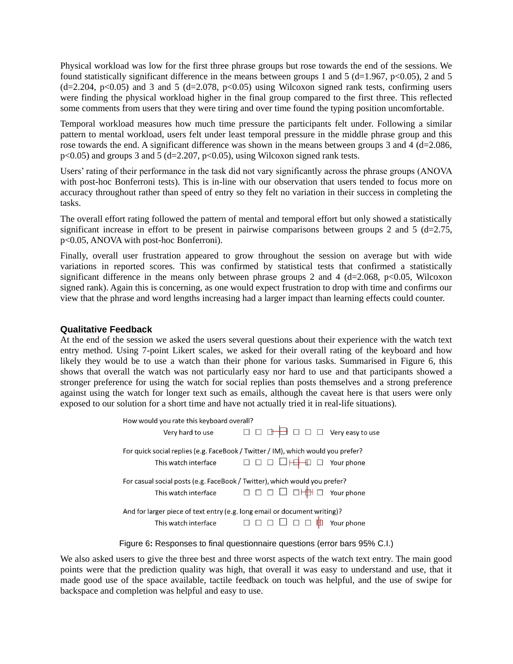Physical workload was low for the first three phrase groups but rose towards the end of the sessions. We found statistically significant difference in the means between groups 1 and 5 (d=1.967, p<0.05), 2 and 5  $(d=2.204, p<0.05)$  and 3 and 5  $(d=2.078, p<0.05)$  using Wilcoxon signed rank tests, confirming users were finding the physical workload higher in the final group compared to the first three. This reflected some comments from users that they were tiring and over time found the typing position uncomfortable.

Temporal workload measures how much time pressure the participants felt under. Following a similar pattern to mental workload, users felt under least temporal pressure in the middle phrase group and this rose towards the end. A significant difference was shown in the means between groups 3 and 4 (d=2.086,  $p<0.05$ ) and groups 3 and 5 (d=2.207,  $p<0.05$ ), using Wilcoxon signed rank tests.

Users' rating of their performance in the task did not vary significantly across the phrase groups (ANOVA with post-hoc Bonferroni tests). This is in-line with our observation that users tended to focus more on accuracy throughout rather than speed of entry so they felt no variation in their success in completing the tasks.

The overall effort rating followed the pattern of mental and temporal effort but only showed a statistically significant increase in effort to be present in pairwise comparisons between groups 2 and 5 (d=2.75, p<0.05, ANOVA with post-hoc Bonferroni).

Finally, overall user frustration appeared to grow throughout the session on average but with wide variations in reported scores. This was confirmed by statistical tests that confirmed a statistically significant difference in the means only between phrase groups 2 and 4 (d=2.068, p<0.05, Wilcoxon signed rank). Again this is concerning, as one would expect frustration to drop with time and confirms our view that the phrase and word lengths increasing had a larger impact than learning effects could counter.

#### **Qualitative Feedback**

At the end of the session we asked the users several questions about their experience with the watch text entry method. Using 7-point Likert scales, we asked for their overall rating of the keyboard and how likely they would be to use a watch than their phone for various tasks. Summarised in [Figure 6](#page-7-0), this shows that overall the watch was not particularly easy nor hard to use and that participants showed a stronger preference for using the watch for social replies than posts themselves and a strong preference against using the watch for longer text such as emails, although the caveat here is that users were only exposed to our solution for a short time and have not actually tried it in real-life situations).

| How would you rate this keyboard overall?                                        |                                                                             |                          |
|----------------------------------------------------------------------------------|-----------------------------------------------------------------------------|--------------------------|
| Very hard to use                                                                 | □□□□□□□□ Very easy to use                                                   |                          |
| For quick social replies (e.g. FaceBook / Twitter / IM), which would you prefer? |                                                                             |                          |
| This watch interface                                                             | $\Box$ $\Box$ $\Box$ $\Box$ $\Box$ $\Box$ Your phone                        |                          |
| For casual social posts (e.g. FaceBook / Twitter), which would you prefer?       |                                                                             |                          |
|                                                                                  | This watch interface $\Box \Box \Box \Box \Box \Box \Box + \Box$ Your phone |                          |
| And for larger piece of text entry (e.g. long email or document writing)?        |                                                                             |                          |
| This watch interface                                                             | $\begin{array}{c} \square \ \square \ \square \ \square \end{array}$        | $\Box$ $\Box$ Your phone |

Figure 6**:** Responses to final questionnaire questions (error bars 95% C.I.)

<span id="page-7-0"></span>We also asked users to give the three best and three worst aspects of the watch text entry. The main good points were that the prediction quality was high, that overall it was easy to understand and use, that it made good use of the space available, tactile feedback on touch was helpful, and the use of swipe for backspace and completion was helpful and easy to use.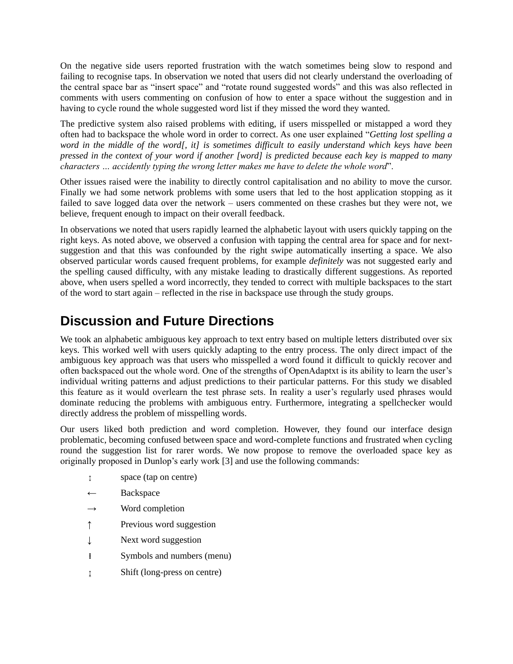On the negative side users reported frustration with the watch sometimes being slow to respond and failing to recognise taps. In observation we noted that users did not clearly understand the overloading of the central space bar as "insert space" and "rotate round suggested words" and this was also reflected in comments with users commenting on confusion of how to enter a space without the suggestion and in having to cycle round the whole suggested word list if they missed the word they wanted.

The predictive system also raised problems with editing, if users misspelled or mistapped a word they often had to backspace the whole word in order to correct. As one user explained "*Getting lost spelling a word in the middle of the word[, it] is sometimes difficult to easily understand which keys have been pressed in the context of your word if another [word] is predicted because each key is mapped to many characters … accidently typing the wrong letter makes me have to delete the whole word*".

Other issues raised were the inability to directly control capitalisation and no ability to move the cursor. Finally we had some network problems with some users that led to the host application stopping as it failed to save logged data over the network – users commented on these crashes but they were not, we believe, frequent enough to impact on their overall feedback.

In observations we noted that users rapidly learned the alphabetic layout with users quickly tapping on the right keys. As noted above, we observed a confusion with tapping the central area for space and for nextsuggestion and that this was confounded by the right swipe automatically inserting a space. We also observed particular words caused frequent problems, for example *definitely* was not suggested early and the spelling caused difficulty, with any mistake leading to drastically different suggestions. As reported above, when users spelled a word incorrectly, they tended to correct with multiple backspaces to the start of the word to start again – reflected in the rise in backspace use through the study groups.

# **Discussion and Future Directions**

We took an alphabetic ambiguous key approach to text entry based on multiple letters distributed over six keys. This worked well with users quickly adapting to the entry process. The only direct impact of the ambiguous key approach was that users who misspelled a word found it difficult to quickly recover and often backspaced out the whole word. One of the strengths of OpenAdaptxt is its ability to learn the user's individual writing patterns and adjust predictions to their particular patterns. For this study we disabled this feature as it would overlearn the test phrase sets. In reality a user's regularly used phrases would dominate reducing the problems with ambiguous entry. Furthermore, integrating a spellchecker would directly address the problem of misspelling words.

Our users liked both prediction and word completion. However, they found our interface design problematic, becoming confused between space and word-complete functions and frustrated when cycling round the suggestion list for rarer words. We now propose to remove the overloaded space key as originally proposed in Dunlop's early work [3] and use the following commands:

- ↕ space (tap on centre)
- ← Backspace
- $\rightarrow$  Word completion
- ↑ Previous word suggestion
- ↓ Next word suggestion
- **i** Symbols and numbers (menu)
- ↨ Shift (long-press on centre)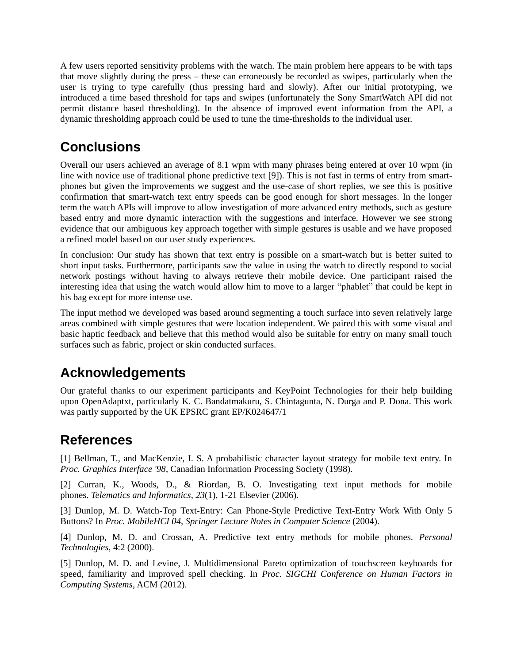A few users reported sensitivity problems with the watch. The main problem here appears to be with taps that move slightly during the press – these can erroneously be recorded as swipes, particularly when the user is trying to type carefully (thus pressing hard and slowly). After our initial prototyping, we introduced a time based threshold for taps and swipes (unfortunately the Sony SmartWatch API did not permit distance based thresholding). In the absence of improved event information from the API, a dynamic thresholding approach could be used to tune the time-thresholds to the individual user.

## **Conclusions**

Overall our users achieved an average of 8.1 wpm with many phrases being entered at over 10 wpm (in line with novice use of traditional phone predictive text [9]). This is not fast in terms of entry from smartphones but given the improvements we suggest and the use-case of short replies, we see this is positive confirmation that smart-watch text entry speeds can be good enough for short messages. In the longer term the watch APIs will improve to allow investigation of more advanced entry methods, such as gesture based entry and more dynamic interaction with the suggestions and interface. However we see strong evidence that our ambiguous key approach together with simple gestures is usable and we have proposed a refined model based on our user study experiences.

In conclusion: Our study has shown that text entry is possible on a smart-watch but is better suited to short input tasks. Furthermore, participants saw the value in using the watch to directly respond to social network postings without having to always retrieve their mobile device. One participant raised the interesting idea that using the watch would allow him to move to a larger "phablet" that could be kept in his bag except for more intense use.

The input method we developed was based around segmenting a touch surface into seven relatively large areas combined with simple gestures that were location independent. We paired this with some visual and basic haptic feedback and believe that this method would also be suitable for entry on many small touch surfaces such as fabric, project or skin conducted surfaces.

## **Acknowledgements**

Our grateful thanks to our experiment participants and KeyPoint Technologies for their help building upon OpenAdaptxt, particularly K. C. Bandatmakuru, S. Chintagunta, N. Durga and P. Dona. This work was partly supported by the UK EPSRC grant EP/K024647/1

## **References**

[1] Bellman, T., and MacKenzie, I. S. A probabilistic character layout strategy for mobile text entry. In *Proc. Graphics Interface '98*, Canadian Information Processing Society (1998).

[2] Curran, K., Woods, D., & Riordan, B. O. Investigating text input methods for mobile phones. *Telematics and Informatics*, *23*(1), 1-21 Elsevier (2006).

[3] Dunlop, M. D. Watch-Top Text-Entry: Can Phone-Style Predictive Text-Entry Work With Only 5 Buttons? In *Proc. MobileHCI 04, Springer Lecture Notes in Computer Science* (2004).

[4] Dunlop, M. D. and Crossan, A. Predictive text entry methods for mobile phones. *Personal Technologies*, 4:2 (2000).

[5] Dunlop, M. D. and Levine, J. Multidimensional Pareto optimization of touchscreen keyboards for speed, familiarity and improved spell checking. In *Proc. SIGCHI Conference on Human Factors in Computing Systems*, ACM (2012).